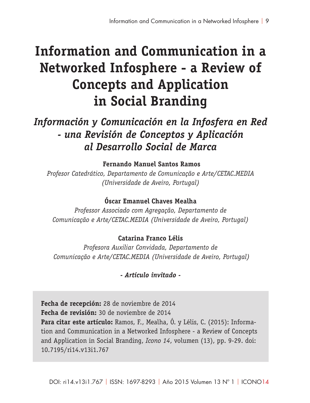# **Information and Communication in a Networked Infosphere - a Review of Concepts and Application in Social Branding**

*Información y Comunicación en la Infosfera en Red - una Revisión de Conceptos y Aplicación al Desarrollo Social de Marca*

 **Fernando Manuel Santos Ramos** 

*Profesor Catedrático, Departamento de Comunicação e Arte/CETAC.MEDIA (Universidade de Aveiro, Portugal)*

### **Óscar Emanuel Chaves Mealha**

*Professor Associado com Agregação, Departamento de Comunicação e Arte/CETAC.MEDIA (Universidade de Aveiro, Portugal)*

### **Catarina Franco Lélis**

*Profesora Auxiliar Convidada, Departamento de Comunicação e Arte/CETAC.MEDIA (Universidade de Aveiro, Portugal)*

### *- Artículo invitado -*

**Fecha de recepción:** 28 de noviembre de 2014 **Fecha de revisión:** 30 de noviembre de 2014 **Para citar este artículo:** Ramos, F., Mealha, Ó. y Lélis, C. (2015): Information and Communication in a Networked Infosphere - a Review of Concepts and Application in Social Branding, *Icono 14*, volumen (13), pp. 9-29. doi: 10.7195/ri14.v13i1.767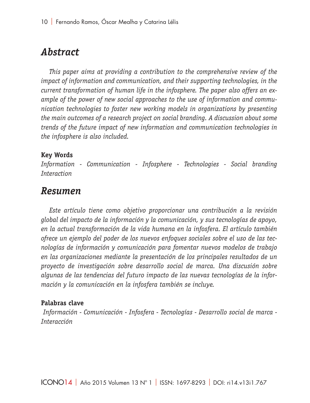# *Abstract*

*This paper aims at providing a contribution to the comprehensive review of the impact of information and communication, and their supporting technologies, in the current transformation of human life in the infosphere. The paper also offers an example of the power of new social approaches to the use of information and communication technologies to foster new working models in organizations by presenting the main outcomes of a research project on social branding. A discussion about some trends of the future impact of new information and communication technologies in the infosphere is also included.*

#### **Key Words**

*Information - Communication - Infosphere - Technologies - Social branding Interaction*

### *Resumen*

*Este artículo tiene como objetivo proporcionar una contribución a la revisión global del impacto de la información y la comunicación, y sus tecnologías de apoyo, en la actual transformación de la vida humana en la infosfera. El artículo también ofrece un ejemplo del poder de los nuevos enfoques sociales sobre el uso de las tecnologías de información y comunicación para fomentar nuevos modelos de trabajo en las organizaciones mediante la presentación de los principales resultados de un proyecto de investigación sobre desarrollo social de marca. Una discusión sobre algunas de las tendencias del futuro impacto de las nuevas tecnologías de la información y la comunicación en la infosfera también se incluye.*

#### **Palabras clave**

 *Información - Comunicación - Infosfera - Tecnologías - Desarrollo social de marca - Interacción*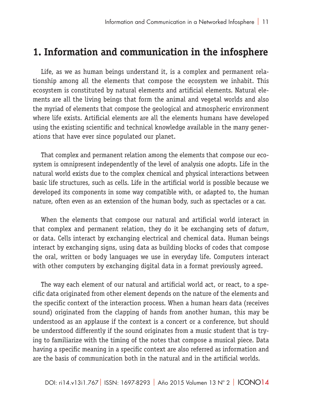# **1. Information and communication in the infosphere**

Life, as we as human beings understand it, is a complex and permanent relationship among all the elements that compose the ecosystem we inhabit. This ecosystem is constituted by natural elements and artificial elements. Natural elements are all the living beings that form the animal and vegetal worlds and also the myriad of elements that compose the geological and atmospheric environment where life exists. Artificial elements are all the elements humans have developed using the existing scientific and technical knowledge available in the many generations that have ever since populated our planet.

That complex and permanent relation among the elements that compose our ecosystem is omnipresent independently of the level of analysis one adopts. Life in the natural world exists due to the complex chemical and physical interactions between basic life structures, such as cells. Life in the artificial world is possible because we developed its components in some way compatible with, or adapted to, the human nature, often even as an extension of the human body, such as spectacles or a car.

When the elements that compose our natural and artificial world interact in that complex and permanent relation, they do it be exchanging sets of *datum*, or data. Cells interact by exchanging electrical and chemical data. Human beings interact by exchanging signs, using data as building blocks of codes that compose the oral, written or body languages we use in everyday life. Computers interact with other computers by exchanging digital data in a format previously agreed.

The way each element of our natural and artificial world act, or react, to a specific data originated from other element depends on the nature of the elements and the specific context of the interaction process. When a human hears data (receives sound) originated from the clapping of hands from another human, this may be understood as an applause if the context is a concert or a conference, but should be understood differently if the sound originates from a music student that is trying to familiarize with the timing of the notes that compose a musical piece. Data having a specific meaning in a specific context are also referred as information and are the basis of communication both in the natural and in the artificial worlds.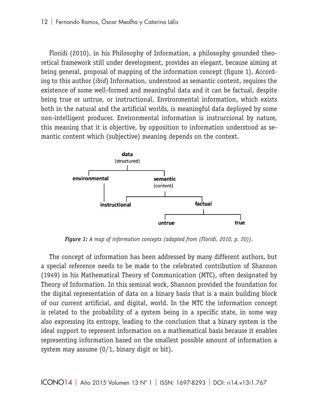Floridi (2010), in his Philosophy of Information, a philosophy grounded theoretical framework still under development, provides an elegant, because aiming at being general, proposal of mapping of the information concept (figure 1). According to this author (*ibid*) Information, understood as semantic content, requires the existence of some well-formed and meaningful data and it can be factual, despite being true or untrue, or instructional. Environmental information, which exists both in the natural and the artificial worlds, is meaningful data deployed by some non-intelligent producer. Environmental information is instruccional by nature, this meaning that it is objective, by opposition to information understood as semantic content which (subjective) meaning depends on the context.



*Figure 1: A map of information concepts (adapted from (Floridi, 2010, p. 20)).*

The concept of information has been addressed by many different authors, but a special reference needs to be made to the celebrated contribution of Shannon (1949) in his Mathematical Theory of Communication (MTC), often designated by Theory of Information. In this seminal work, Shannon provided the foundation for the digital representation of data on a binary basis that is a main building block of our current artificial, and digital, world. In the MTC the information concept is related to the probability of a system being in a specific state, in some way also expressing its entropy, leading to the conclusion that a binary system is the ideal support to represent information on a mathematical basis because it enables representing information based on the smallest possible amount of information a system may assume (0/1, binary digit or bit).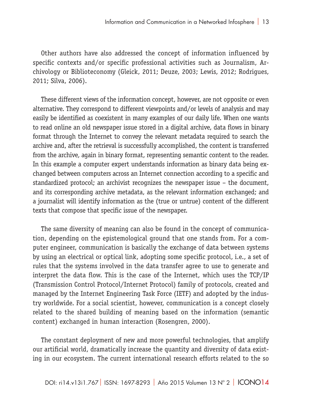Other authors have also addressed the concept of information influenced by specific contexts and/or specific professional activities such as Journalism, Archivology or Biblioteconomy (Gleick, 2011; Deuze, 2003; Lewis, 2012; Rodrigues, 2011; Silva, 2006).

These different views of the information concept, however, are not opposite or even alternative. They correspond to different viewpoints and/or levels of analysis and may easily be identified as coexistent in many examples of our daily life. When one wants to read online an old newspaper issue stored in a digital archive, data flows in binary format through the Internet to convey the relevant metadata required to search the archive and, after the retrieval is successfully accomplished, the content is transferred from the archive, again in binary format, representing semantic content to the reader. In this example a computer expert understands information as binary data being exchanged between computers across an Internet connection according to a specific and standardized protocol; an archivist recognizes the newspaper issue – the document, and its corresponding archive metadata, as the relevant information exchanged; and a journalist will identify information as the (true or untrue) content of the different texts that compose that specific issue of the newspaper.

The same diversity of meaning can also be found in the concept of communication, depending on the epistemological ground that one stands from. For a computer engineer, communication is basically the exchange of data between systems by using an electrical or optical link, adopting some specific protocol, i.e., a set of rules that the systems involved in the data transfer agree to use to generate and interpret the data flow. This is the case of the Internet, which uses the TCP/IP (Transmission Control Protocol/Internet Protocol) family of protocols, created and managed by the Internet Engineering Task Force (IETF) and adopted by the industry worldwide. For a social scientist, however, communication is a concept closely related to the shared building of meaning based on the information (semantic content) exchanged in human interaction (Rosengren, 2000).

The constant deployment of new and more powerful technologies, that amplify our artificial world, dramatically increase the quantity and diversity of data existing in our ecosystem. The current international research efforts related to the so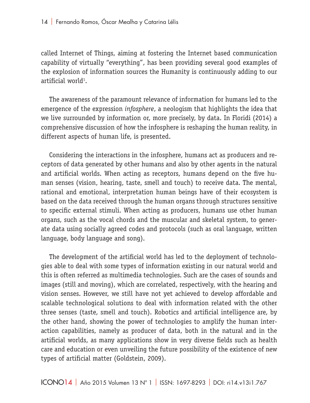called Internet of Things, aiming at fostering the Internet based communication capability of virtually "everything", has been providing several good examples of the explosion of information sources the Humanity is continuously adding to our artificial world $^1$ .

The awareness of the paramount relevance of information for humans led to the emergence of the expression *infosphere*, a neologism that highlights the idea that we live surrounded by information or, more precisely, by data. In Floridi (2014) a comprehensive discussion of how the infosphere is reshaping the human reality, in different aspects of human life, is presented.

Considering the interactions in the infosphere, humans act as producers and receptors of data generated by other humans and also by other agents in the natural and artificial worlds. When acting as receptors, humans depend on the five human senses (vision, hearing, taste, smell and touch) to receive data. The mental, rational and emotional, interpretation human beings have of their ecosystem is based on the data received through the human organs through structures sensitive to specific external stimuli. When acting as producers, humans use other human organs, such as the vocal chords and the muscular and skeletal system, to generate data using socially agreed codes and protocols (such as oral language, written language, body language and song).

The development of the artificial world has led to the deployment of technologies able to deal with some types of information existing in our natural world and this is often referred as multimedia technologies. Such are the cases of sounds and images (still and moving), which are correlated, respectively, with the hearing and vision senses. However, we still have not yet achieved to develop affordable and scalable technological solutions to deal with information related with the other three senses (taste, smell and touch). Robotics and artificial intelligence are, by the other hand, showing the power of technologies to amplify the human interaction capabilities, namely as producer of data, both in the natural and in the artificial worlds, as many applications show in very diverse fields such as health care and education or even unveiling the future possibility of the existence of new types of artificial matter (Goldstein, 2009).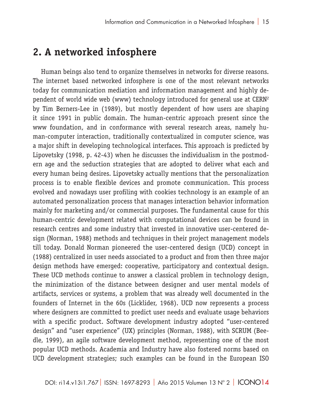# **2. A networked infosphere**

Human beings also tend to organize themselves in networks for diverse reasons. The internet based networked infosphere is one of the most relevant networks today for communication mediation and information management and highly dependent of world wide web (www) technology introduced for general use at CERN2 by Tim Berners-Lee in (1989), but mostly dependent of how users are shaping it since 1991 in public domain. The human-centric approach present since the www foundation, and in conformance with several research areas, namely human-computer interaction, traditionally contextualized in computer science, was a major shift in developing technological interfaces. This approach is predicted by Lipovetsky (1998, p. 42-43) when he discusses the individualism in the postmodern age and the seduction strategies that are adopted to deliver what each and every human being desires. Lipovetsky actually mentions that the personalization process is to enable flexible devices and promote communication. This process evolved and nowadays user profiling with cookies technology is an example of an automated personalization process that manages interaction behavior information mainly for marketing and/or commercial purposes. The fundamental cause for this human-centric development related with computational devices can be found in research centres and some industry that invested in innovative user-centered design (Norman, 1988) methods and techniques in their project management models till today. Donald Norman pioneered the user-centered design (UCD) concept in (1988) centralized in user needs associated to a product and from then three major design methods have emerged: cooperative, participatory and contextual design. These UCD methods continue to answer a classical problem in technology design, the minimization of the distance between designer and user mental models of artifacts, services or systems, a problem that was already well documented in the founders of Internet in the 60s (Licklider, 1968). UCD now represents a process where designers are committed to predict user needs and evaluate usage behaviors with a specific product. Software development industry adopted "user-centered design" and "user experience" (UX) principles (Norman, 1988), with SCRUM (Beedle, 1999), an agile software development method, representing one of the most popular UCD methods. Academia and Industry have also fostered norms based on UCD development strategies; such examples can be found in the European ISO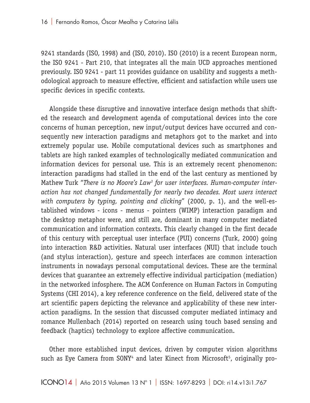9241 standards (ISO, 1998) and (ISO, 2010). ISO (2010) is a recent European norm, the ISO 9241 - Part 210, that integrates all the main UCD approaches mentioned previously. ISO 9241 - part 11 provides guidance on usability and suggests a methodological approach to measure effective, efficient and satisfaction while users use specific devices in specific contexts.

Alongside these disruptive and innovative interface design methods that shifted the research and development agenda of computational devices into the core concerns of human perception, new input/output devices have occurred and consequently new interaction paradigms and metaphors got to the market and into extremely popular use. Mobile computational devices such as smartphones and tablets are high ranked examples of technologically mediated communication and information devices for personal use. This is an extremely recent phenomenon: interaction paradigms had stalled in the end of the last century as mentioned by Mathew Turk "*There is no Moore's Law3 for user interfaces. Human-computer interaction has not changed fundamentally for nearly two decades. Most users interact with computers by typing, pointing and clicking*" (2000, p. 1), and the well-established windows - icons - menus - pointers (WIMP) interaction paradigm and the desktop metaphor were, and still are, dominant in many computer mediated communication and information contexts. This clearly changed in the first decade of this century with perceptual user interface (PUI) concerns (Turk, 2000) going into interaction R&D activities. Natural user interfaces (NUI) that include touch (and stylus interaction), gesture and speech interfaces are common interaction instruments in nowadays personal computational devices. These are the terminal devices that guarantee an extremely effective individual participation (mediation) in the networked infosphere. The ACM Conference on Human Factors in Computing Systems (CHI 2014), a key reference conference on the field, delivered state of the art scientific papers depicting the relevance and applicability of these new interaction paradigms. In the session that discussed computer mediated intimacy and romance Mullenbach (2014) reported on research using touch based sensing and feedback (haptics) technology to explore affective communication.

Other more established input devices, driven by computer vision algorithms such as Eye Camera from SONY<sup>4</sup> and later Kinect from Microsoft<sup>5</sup>, originally pro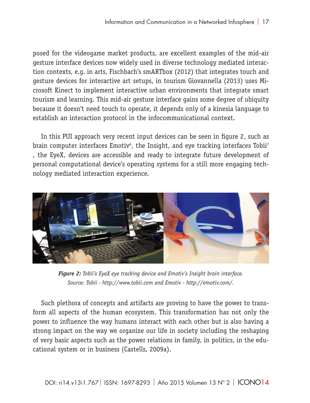posed for the videogame market products, are excellent examples of the mid-air gesture interface devices now widely used in diverse technology mediated interaction contexts, e.g. in arts, Fischbach's smARTbox (2012) that integrates touch and gesture devices for interactive art setups, in tourism Giovannella (2013) uses Microsoft Kinect to implement interactive urban environments that integrate smart tourism and learning. This mid-air gesture interface gains some degree of ubiquity because it doesn't need touch to operate, it depends only of a kinesia language to establish an interaction protocol in the infocommunicational context.

In this PUI approach very recent input devices can be seen in figure 2, such as brain computer interfaces Emotiv $^{\rm 6}$ , the Insight, and eye tracking interfaces Tobii $^{\rm 7}$ , the EyeX, devices are accessible and ready to integrate future development of personal computational device's operating systems for a still more engaging technology mediated interaction experience.



*Figure 2: Tobii's EyeX eye tracking device and Emotiv's Insight brain interface. Source: Tobii - http://www.tobii.com and Emotiv - http://emotiv.com/.*

Such plethora of concepts and artifacts are proving to have the power to transform all aspects of the human ecosystem. This transformation has not only the power to influence the way humans interact with each other but is also having a strong impact on the way we organize our life in society including the reshaping of very basic aspects such as the power relations in family, in politics, in the educational system or in business (Castells, 2009a).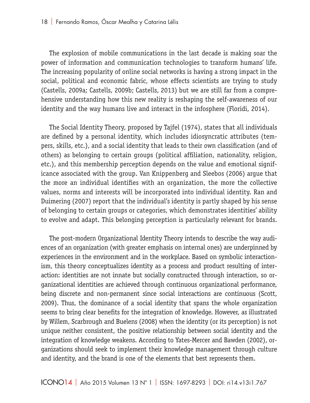The explosion of mobile communications in the last decade is making soar the power of information and communication technologies to transform humans' life. The increasing popularity of online social networks is having a strong impact in the social, political and economic fabric, whose effects scientists are trying to study (Castells, 2009a; Castells, 2009b; Castells, 2013) but we are still far from a comprehensive understanding how this new reality is reshaping the self-awareness of our identity and the way humans live and interact in the infosphere (Floridi, 2014).

The Social Identity Theory, proposed by Tajfel (1974), states that all individuals are defined by a personal identity, which includes idiosyncratic attributes (tempers, skills, etc.), and a social identity that leads to their own classification (and of others) as belonging to certain groups (political affiliation, nationality, religion, etc.), and this membership perception depends on the value and emotional significance associated with the group. Van Knippenberg and Sleebos (2006) argue that the more an individual identifies with an organization, the more the collective values, norms and interests will be incorporated into individual identity. Ran and Duimering (2007) report that the individual's identity is partly shaped by his sense of belonging to certain groups or categories, which demonstrates identities' ability to evolve and adapt. This belonging perception is particularly relevant for brands.

The post-modern Organizational Identity Theory intends to describe the way audiences of an organization (with greater emphasis on internal ones) are underpinned by experiences in the environment and in the workplace. Based on symbolic interactionism, this theory conceptualizes identity as a process and product resulting of interaction: identities are not innate but socially constructed through interaction, so organizational identities are achieved through continuous organizational performance, being discrete and non-permanent since social interactions are continuous (Scott, 2009). Thus, the dominance of a social identity that spans the whole organization seems to bring clear benefits for the integration of knowledge. However, as illustrated by Willem, Scarbrough and Buelens (2008) when the identity (or its perception) is not unique neither consistent, the positive relationship between social identity and the integration of knowledge weakens. According to Yates-Mercer and Bawden (2002), organizations should seek to implement their knowledge management through culture and identity, and the brand is one of the elements that best represents them.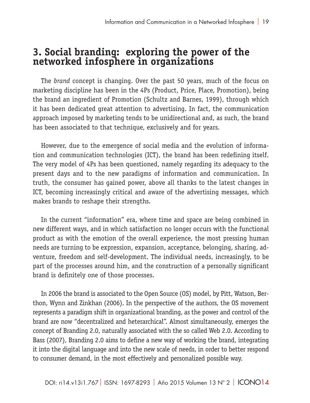# **3. Social branding: exploring the power of the networked infosphere in organizations**

The *brand* concept is changing. Over the past 50 years, much of the focus on marketing discipline has been in the 4Ps (Product, Price, Place, Promotion), being the brand an ingredient of Promotion (Schultz and Barnes, 1999), through which it has been dedicated great attention to advertising. In fact, the communication approach imposed by marketing tends to be unidirectional and, as such, the brand has been associated to that technique, exclusively and for years.

However, due to the emergence of social media and the evolution of information and communication technologies (ICT), the brand has been redefining itself. The very model of 4Ps has been questioned, namely regarding its adequacy to the present days and to the new paradigms of information and communication. In truth, the consumer has gained power, above all thanks to the latest changes in ICT, becoming increasingly critical and aware of the advertising messages, which makes brands to reshape their strengths.

In the current "information" era, where time and space are being combined in new different ways, and in which satisfaction no longer occurs with the functional product as with the emotion of the overall experience, the most pressing human needs are turning to be expression, expansion, acceptance, belonging, sharing, adventure, freedom and self-development. The individual needs, increasingly, to be part of the processes around him, and the construction of a personally significant brand is definitely one of those processes.

In 2006 the brand is associated to the Open Source (OS) model, by Pitt, Watson, Berthon, Wynn and Zinkhan (2006). In the perspective of the authors, the OS movement represents a paradigm shift in organizational branding, as the power and control of the brand are now "decentralized and heterarchical". Almost simultaneously, emerges the concept of Branding 2.0, naturally associated with the so called Web 2.0. According to Bass (2007), Branding 2.0 aims to define a new way of working the brand, integrating it into the digital language and into the new scale of needs, in order to better respond to consumer demand, in the most effectively and personalized possible way.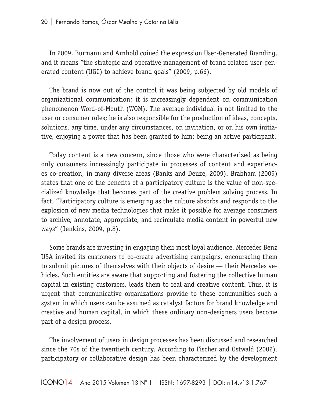In 2009, Burmann and Arnhold coined the expression User-Generated Branding, and it means "the strategic and operative management of brand related user-generated content (UGC) to achieve brand goals" (2009, p.66).

The brand is now out of the control it was being subjected by old models of organizational communication; it is increasingly dependent on communication phenomenon Word-of-Mouth (WOM). The average individual is not limited to the user or consumer roles; he is also responsible for the production of ideas, concepts, solutions, any time, under any circumstances, on invitation, or on his own initiative, enjoying a power that has been granted to him: being an active participant.

Today content is a new concern, since those who were characterized as being only consumers increasingly participate in processes of content and experiences co-creation, in many diverse areas (Banks and Deuze, 2009). Brabham (2009) states that one of the benefits of a participatory culture is the value of non-specialized knowledge that becomes part of the creative problem solving process. In fact, "Participatory culture is emerging as the culture absorbs and responds to the explosion of new media technologies that make it possible for average consumers to archive, annotate, appropriate, and recirculate media content in powerful new ways" (Jenkins, 2009, p.8).

Some brands are investing in engaging their most loyal audience. Mercedes Benz USA invited its customers to co-create advertising campaigns, encouraging them to submit pictures of themselves with their objects of desire — their Mercedes vehicles. Such entities are aware that supporting and fostering the collective human capital in existing customers, leads them to real and creative content. Thus, it is urgent that communicative organizations provide to these communities such a system in which users can be assumed as catalyst factors for brand knowledge and creative and human capital, in which these ordinary non-designers users become part of a design process.

The involvement of users in design processes has been discussed and researched since the 70s of the twentieth century. According to Fischer and Ostwald (2002), participatory or collaborative design has been characterized by the development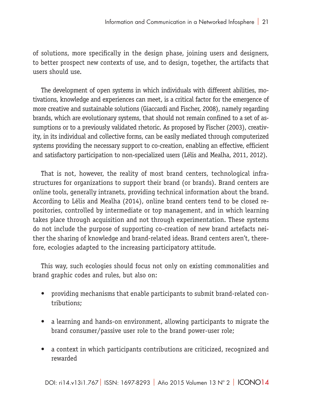of solutions, more specifically in the design phase, joining users and designers, to better prospect new contexts of use, and to design, together, the artifacts that users should use.

The development of open systems in which individuals with different abilities, motivations, knowledge and experiences can meet, is a critical factor for the emergence of more creative and sustainable solutions (Giaccardi and Fischer, 2008), namely regarding brands, which are evolutionary systems, that should not remain confined to a set of assumptions or to a previously validated rhetoric. As proposed by Fischer (2003), creativity, in its individual and collective forms, can be easily mediated through computerized systems providing the necessary support to co-creation, enabling an effective, efficient and satisfactory participation to non-specialized users (Lélis and Mealha, 2011, 2012).

That is not, however, the reality of most brand centers, technological infrastructures for organizations to support their brand (or brands). Brand centers are online tools, generally intranets, providing technical information about the brand. According to Lélis and Mealha (2014), online brand centers tend to be closed repositories, controlled by intermediate or top management, and in which learning takes place through acquisition and not through experimentation. These systems do not include the purpose of supporting co-creation of new brand artefacts neither the sharing of knowledge and brand-related ideas. Brand centers aren't, therefore, ecologies adapted to the increasing participatory attitude.

This way, such ecologies should focus not only on existing commonalities and brand graphic codes and rules, but also on:

- providing mechanisms that enable participants to submit brand-related contributions;
- a learning and hands-on environment, allowing participants to migrate the brand consumer/passive user role to the brand power-user role;
- a context in which participants contributions are criticized, recognized and rewarded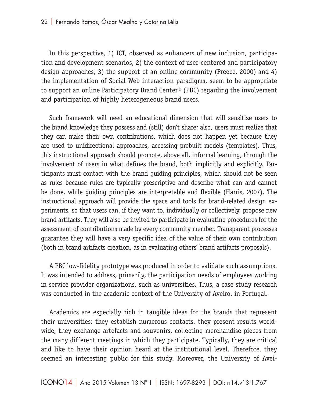In this perspective, 1) ICT, observed as enhancers of new inclusion, participation and development scenarios, 2) the context of user-centered and participatory design approaches, 3) the support of an online community (Preece, 2000) and 4) the implementation of Social Web interaction paradigms, seem to be appropriate to support an online Participatory Brand Center® (PBC) regarding the involvement and participation of highly heterogeneous brand users.

Such framework will need an educational dimension that will sensitize users to the brand knowledge they possess and (still) don't share; also, users must realize that they can make their own contributions, which does not happen yet because they are used to unidirectional approaches, accessing prebuilt models (templates). Thus, this instructional approach should promote, above all, informal learning, through the involvement of users in what defines the brand, both implicitly and explicitly. Participants must contact with the brand guiding principles, which should not be seen as rules because rules are typically prescriptive and describe what can and cannot be done, while guiding principles are interpretable and flexible (Harris, 2007). The instructional approach will provide the space and tools for brand-related design experiments, so that users can, if they want to, individually or collectively, propose new brand artifacts. They will also be invited to participate in evaluating procedures for the assessment of contributions made by every community member. Transparent processes guarantee they will have a very specific idea of the value of their own contribution (both in brand artifacts creation, as in evaluating others' brand artifacts proposals).

A PBC low-fidelity prototype was produced in order to validate such assumptions. It was intended to address, primarily, the participation needs of employees working in service provider organizations, such as universities. Thus, a case study research was conducted in the academic context of the University of Aveiro, in Portugal.

Academics are especially rich in tangible ideas for the brands that represent their universities: they establish numerous contacts, they present results worldwide, they exchange artefacts and souvenirs, collecting merchandise pieces from the many different meetings in which they participate. Typically, they are critical and like to have their opinion heard at the institutional level. Therefore, they seemed an interesting public for this study. Moreover, the University of Avei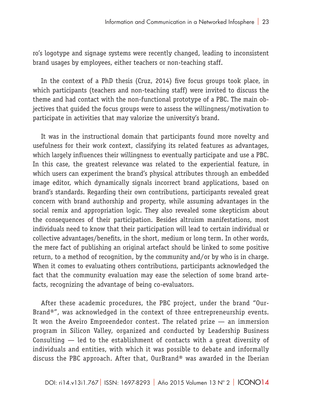ro's logotype and signage systems were recently changed, leading to inconsistent brand usages by employees, either teachers or non-teaching staff.

In the context of a PhD thesis (Cruz, 2014) five focus groups took place, in which participants (teachers and non-teaching staff) were invited to discuss the theme and had contact with the non-functional prototype of a PBC. The main objectives that guided the focus groups were to assess the willingness/motivation to participate in activities that may valorize the university's brand.

It was in the instructional domain that participants found more novelty and usefulness for their work context, classifying its related features as advantages, which largely influences their willingness to eventually participate and use a PBC. In this case, the greatest relevance was related to the experiential feature, in which users can experiment the brand's physical attributes through an embedded image editor, which dynamically signals incorrect brand applications, based on brand's standards. Regarding their own contributions, participants revealed great concern with brand authorship and property, while assuming advantages in the social remix and appropriation logic. They also revealed some skepticism about the consequences of their participation. Besides altruism manifestations, most individuals need to know that their participation will lead to certain individual or collective advantages/benefits, in the short, medium or long term. In other words, the mere fact of publishing an original artefact should be linked to some positive return, to a method of recognition, by the community and/or by who is in charge. When it comes to evaluating others contributions, participants acknowledged the fact that the community evaluation may ease the selection of some brand artefacts, recognizing the advantage of being co-evaluators.

After these academic procedures, the PBC project, under the brand "Our-Brand®", was acknowledged in the context of three entrepreneurship events. It won the Aveiro Empreendedor contest. The related prize — an immersion program in Silicon Valley, organized and conducted by Leadership Business Consulting — led to the establishment of contacts with a great diversity of individuals and entities, with which it was possible to debate and informally discuss the PBC approach. After that, OurBrand® was awarded in the Iberian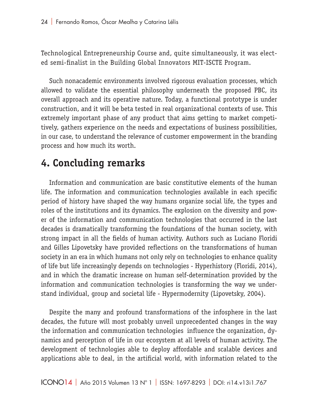Technological Entrepreneurship Course and, quite simultaneously, it was elected semi-finalist in the Building Global Innovators MIT-ISCTE Program.

Such nonacademic environments involved rigorous evaluation processes, which allowed to validate the essential philosophy underneath the proposed PBC, its overall approach and its operative nature. Today, a functional prototype is under construction, and it will be beta tested in real organizational contexts of use. This extremely important phase of any product that aims getting to market competitively, gathers experience on the needs and expectations of business possibilities, in our case, to understand the relevance of customer empowerment in the branding process and how much its worth.

# **4. Concluding remarks**

Information and communication are basic constitutive elements of the human life. The information and communication technologies available in each specific period of history have shaped the way humans organize social life, the types and roles of the institutions and its dynamics. The explosion on the diversity and power of the information and communication technologies that occurred in the last decades is dramatically transforming the foundations of the human society, with strong impact in all the fields of human activity. Authors such as Luciano Floridi and Gilles Lipovetsky have provided reflections on the transformations of human society in an era in which humans not only rely on technologies to enhance quality of life but life increasingly depends on technologies - Hyperhistory (Floridi, 2014), and in which the dramatic increase on human self-determination provided by the information and communication technologies is transforming the way we understand individual, group and societal life - Hypermodernity (Lipovetsky, 2004).

Despite the many and profound transformations of the infosphere in the last decades, the future will most probably unveil unprecedented changes in the way the information and communication technologies influence the organization, dynamics and perception of life in our ecosystem at all levels of human activity. The development of technologies able to deploy affordable and scalable devices and applications able to deal, in the artificial world, with information related to the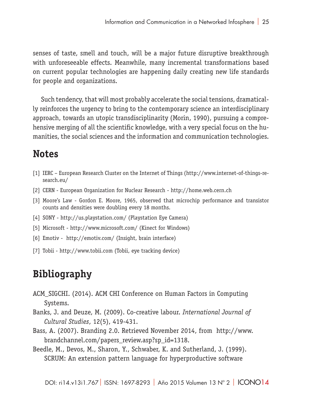senses of taste, smell and touch, will be a major future disruptive breakthrough with unforeseeable effects. Meanwhile, many incremental transformations based on current popular technologies are happening daily creating new life standards for people and organizations.

Such tendency, that will most probably accelerate the social tensions, dramatically reinforces the urgency to bring to the contemporary science an interdisciplinary approach, towards an utopic transdisciplinarity (Morin, 1990), pursuing a comprehensive merging of all the scientific knowledge, with a very special focus on the humanities, the social sciences and the information and communication technologies.

# **Notes**

- [1] IERC European Research Cluster on the Internet of Things (http://www.internet-of-things-research.eu/
- [2] CERN European Organization for Nuclear Research http://home.web.cern.ch
- [3] Moore's Law Gordon E. Moore, 1965, observed that microchip performance and transistor counts and densities were doubling every 18 months.
- [4] SONY http://us.playstation.com/ (Playstation Eye Camera)
- [5] Microsoft http://www.microsoft.com/ (Kinect for Windows)
- [6] Emotiv http://emotiv.com/ (Insight, brain interface)
- [7] Tobii http://www.tobii.com (Tobii, eye tracking device)

# **Bibliography**

- ACM\_SIGCHI. (2014). ACM CHI Conference on Human Factors in Computing Systems.
- Banks, J. and Deuze, M. (2009). Co-creative labour. *International Journal of Cultural Studies*, 12(5), 419-431.
- Bass, A. (2007). Branding 2.0. Retrieved November 2014, from http://www. brandchannel.com/papers\_review.asp?sp\_id=1318.
- Beedle, M., Devos, M., Sharon, Y., Schwaber, K. and Sutherland, J. (1999). SCRUM: An extension pattern language for hyperproductive software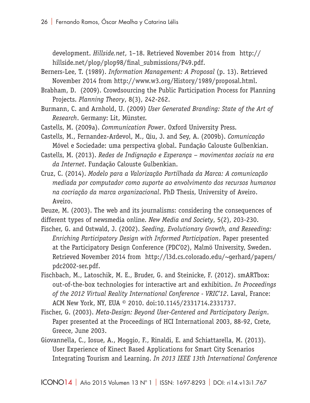development. *Hillside.net*, 1–18. Retrieved November 2014 from http:// hillside.net/plop/plop98/final\_submissions/P49.pdf.

- Berners-Lee, T. (1989). *Information Management: A Proposal* (p. 13). Retrieved November 2014 from http://www.w3.org/History/1989/proposal.html.
- Brabham, D. (2009). Crowdsourcing the Public Participation Process for Planning Projects. *Planning Theory*, 8(3), 242-262.
- Burmann, C. and Arnhold, U. (2009) *User Generated Branding: State of the Art of Research*. Germany: Lit, Münster.
- Castells, M. (2009a). *Communication Power*. Oxford University Press.
- Castells, M., Fernandez-Ardevol, M., Qiu, J. and Sey, A. (2009b). *Comunicação* Móvel e Sociedade: uma perspectiva global. Fundação Calouste Gulbenkian.
- Castells, M. (2013). *Redes de Indignação e Esperança movimentos sociais na era da Internet*. Fundação Calouste Gulbenkian.
- Cruz, C. (2014). *Modelo para a Valorização Partilhada da Marca: A comunicação mediada por computador como suporte ao envolvimento dos recursos humanos na cocriação da marca organizacional*. PhD Thesis, University of Aveiro. Aveiro.

Deuze, M. (2003). The web and its journalisms: considering the consequences of different types of newsmedia online. *New Media and Society*, 5(2), 203-230.

- Fischer, G. and Ostwald, J. (2002). *Seeding, Evolutionary Growth, and Reseeding: Enriching Participatory Design with Informed Participation*. Paper presented at the Participatory Design Conference (PDC'02), Malmö University, Sweden. Retrieved November 2014 from http://l3d.cs.colorado.edu/~gerhard/papers/ pdc2002-ser.pdf.
- Fischbach, M., Latoschik, M. E., Bruder, G. and Steinicke, F. (2012). smARTbox: out-of-the-box technologies for interactive art and exhibition. *In Proceedings of the 2012 Virtual Reality International Conference - VRIC'12*. Laval, France: ACM New York, NY, EUA © 2010. doi:10.1145/2331714.2331737.
- Fischer, G. (2003). *Meta-Design: Beyond User-Centered and Participatory Design*. Paper presented at the Proceedings of HCI International 2003, 88-92, Crete, Greece, June 2003.
- Giovannella, C., Iosue, A., Moggio, F., Rinaldi, E. and Schiattarella, M. (2013). User Experience of Kinect Based Applications for Smart City Scenarios Integrating Tourism and Learning. *In 2013 IEEE 13th International Conference*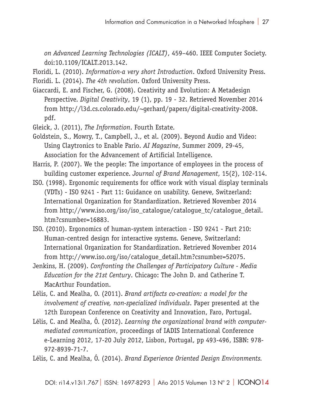*on Advanced Learning Technologies (ICALT)*, 459–460. IEEE Computer Society. doi:10.1109/ICALT.2013.142.

Floridi, L. (2010). *Information-a very short Introduction*. Oxford University Press. Floridi. L. (2014). *The 4th revolution*. Oxford University Press.

Giaccardi, E. and Fischer, G. (2008). Creativity and Evolution: A Metadesign Perspective. *Digital Creativity*, 19 (1), pp. 19 - 32. Retrieved November 2014 from http://l3d.cs.colorado.edu/~gerhard/papers/digital-creativity-2008. pdf.

Gleick, J. (2011), *The Information*. Fourth Estate.

- Goldstein, S., Mowry, T., Campbell, J., et al. (2009). Beyond Audio and Video: Using Claytronics to Enable Pario. *AI Magazine*, Summer 2009, 29-45, Association for the Advancement of Artificial Intelligence.
- Harris, P. (2007). We the people: The importance of employees in the process of building customer experience. *Journal of Brand Management*, 15(2), 102-114.
- ISO. (1998). Ergonomic requirements for office work with visual display terminals (VDTs) - ISO 9241 - Part 11: Guidance on usability. Geneve, Switzerland: International Organization for Standardization. Retrieved November 2014 from http://www.iso.org/iso/iso\_catalogue/catalogue\_tc/catalogue\_detail. htm?csnumber=16883.
- ISO. (2010). Ergonomics of human-system interaction ISO 9241 Part 210: Human-centred design for interactive systems. Geneve, Switzerland: International Organization for Standardization. Retrieved November 2014 from http://www.iso.org/iso/catalogue\_detail.htm?csnumber=52075.
- Jenkins, H. (2009). *Confronting the Challenges of Participatory Culture Media Education for the 21st Century*. Chicago: The John D. and Catherine T. MacArthur Foundation.
- Lélis, C. and Mealha, O. (2011). *Brand artifacts co-creation: a model for the involvement of creative, non-specialized individuals*. Paper presented at the 12th European Conference on Creativity and Innovation, Faro, Portugal.
- Lélis, C. and Mealha, Ó. (2012). *Learning the organizational brand with computermediated communication*, proceedings of IADIS International Conference e-Learning 2012, 17-20 July 2012, Lisbon, Portugal, pp 493-496, ISBN: 978- 972-8939-71-7.

Lélis, C. and Mealha, Ó. (2014). *Brand Experience Oriented Design Environments.*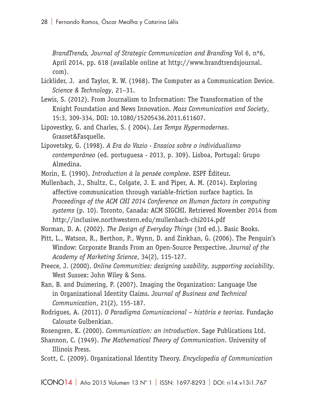*BrandTrends, Journal of Strategic Communication and Branding* Vol 6, nº6, April 2014, pp. 618 (available online at http://www.brandtrendsjournal. com).

- Licklider, J. and Taylor, R. W. (1968). The Computer as a Communication Device. *Science & Technology*, 21–31.
- Lewis, S. (2012). From Journalism to Information: The Transformation of the Knight Foundation and News Innovation. *Mass Communication and Society*, 15:3, 309-334, DOI: 10.1080/15205436.2011.611607.
- Lipovestky, G. and Charles, S. ( 2004). *Les Temps Hypermodernes*. Grasset&Fasquelle.
- Lipovetsky, G. (1998). *A Era do Vazio Ensaios sobre o individualismo contemporâneo* (ed. portuguesa - 2013, p. 309). Lisboa, Portugal: Grupo Almedina.
- Morin, E. (1990). *Introduction à la pensée complexe*. ESPF Éditeur.
- Mullenbach, J., Shultz, C., Colgate, J. E. and Piper, A. M. (2014). Exploring affective communication through variable-friction surface haptics. In *Proceedings of the ACM CHI 2014 Conference on Human factors in computing systems* (p. 10). Toronto, Canada: ACM SIGCHI. Retrieved November 2014 from http://inclusive.northwestern.edu/mullenbach-chi2014.pdf

Norman, D. A. (2002). *The Design of Everyday Things* (3rd ed.). Basic Books.

- Pitt, L., Watson, R., Berthon, P., Wynn, D. and Zinkhan, G. (2006). The Penguin's Window: Corporate Brands From an Open-Source Perspective. *Journal of the Academy of Marketing Science*, 34(2), 115-127.
- Preece, J. (2000). *Online Communities: designing usability, supporting sociability*. West Sussex: John Wiley & Sons.
- Ran, B. and Duimering, P. (2007). Imaging the Organization: Language Use in Organizational Identity Claims. *Journal of Business and Technical Communication*, 21(2), 155-187.
- Rodrigues, A. (2011). *O Paradigma Comunicacional história e teorias*. Fundação Calouste Gulbenkian.

Rosengren, K. (2000). *Communication: an introduction*. Sage Publications Ltd.

- Shannon, C. (1949). *The Mathematical Theory of Communication*. University of Illinois Press.
- Scott, C. (2009). Organizational Identity Theory. *Encyclopedia of Communication*